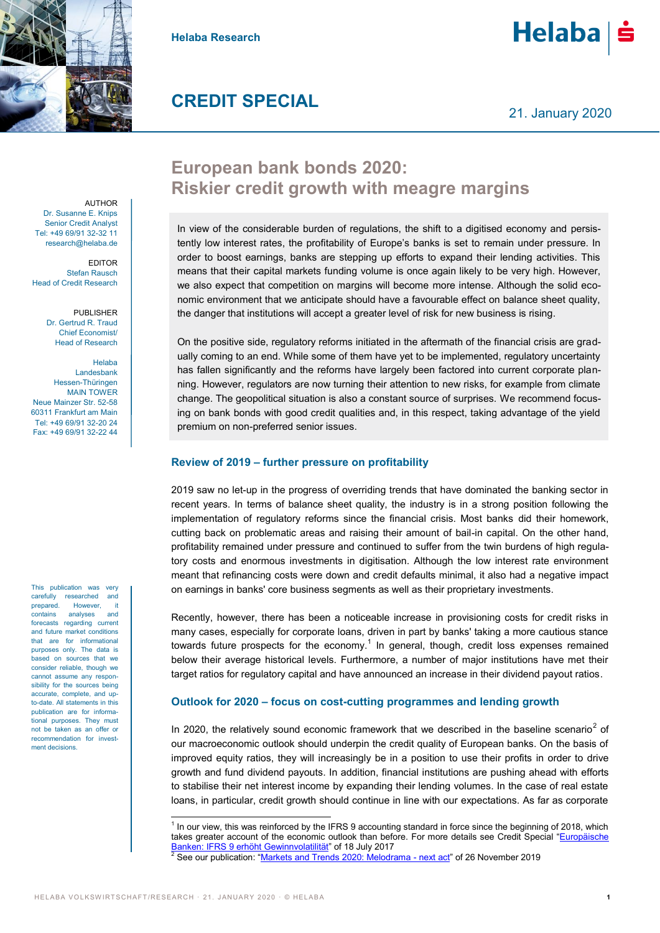

**Helaba Research**

# $He$ laba $|\dot{\mathbf{s}}$

### **CREDIT SPECIAL**

21. January 2020

## **European bank bonds 2020: Riskier credit growth with meagre margins**

In view of the considerable burden of regulations, the shift to a digitised economy and persistently low interest rates, the profitability of Europe's banks is set to remain under pressure. In order to boost earnings, banks are stepping up efforts to expand their lending activities. This means that their capital markets funding volume is once again likely to be very high. However, we also expect that competition on margins will become more intense. Although the solid economic environment that we anticipate should have a favourable effect on balance sheet quality, the danger that institutions will accept a greater level of risk for new business is rising.

On the positive side, regulatory reforms initiated in the aftermath of the financial crisis are gradually coming to an end. While some of them have yet to be implemented, regulatory uncertainty has fallen significantly and the reforms have largely been factored into current corporate planning. However, regulators are now turning their attention to new risks, for example from climate change. The geopolitical situation is also a constant source of surprises. We recommend focusing on bank bonds with good credit qualities and, in this respect, taking advantage of the yield premium on non-preferred senior issues.

#### **Review of 2019 – further pressure on profitability**

2019 saw no let-up in the progress of overriding trends that have dominated the banking sector in recent years. In terms of balance sheet quality, the industry is in a strong position following the implementation of regulatory reforms since the financial crisis. Most banks did their homework, cutting back on problematic areas and raising their amount of bail-in capital. On the other hand, profitability remained under pressure and continued to suffer from the twin burdens of high regulatory costs and enormous investments in digitisation. Although the low interest rate environment meant that refinancing costs were down and credit defaults minimal, it also had a negative impact on earnings in banks' core business segments as well as their proprietary investments.

Recently, however, there has been a noticeable increase in provisioning costs for credit risks in many cases, especially for corporate loans, driven in part by banks' taking a more cautious stance towards future prospects for the economy.<sup>1</sup> In general, though, credit loss expenses remained below their average historical levels. Furthermore, a number of major institutions have met their target ratios for regulatory capital and have announced an increase in their dividend payout ratios.

#### **Outlook for 2020 – focus on cost-cutting programmes and lending growth**

In 2020, the relatively sound economic framework that we described in the baseline scenario<sup>2</sup> of our macroeconomic outlook should underpin the credit quality of European banks. On the basis of improved equity ratios, they will increasingly be in a position to use their profits in order to drive growth and fund dividend payouts. In addition, financial institutions are pushing ahead with efforts to stabilise their net interest income by expanding their lending volumes. In the case of real estate loans, in particular, credit growth should continue in line with our expectations. As far as corporate

**AUTHOR** Dr. Susanne E. Knips Senior Credit Analyst Tel: +49 69/91 32-32 11 research@helaba.de

EDITOR Stefan Rausch Head of Credit Research

> PUBLISHER Dr. Gertrud R. Traud Chief Economist/ Head of Research

Helaba Landesbank Hessen-Thüringen MAIN TOWER Neue Mainzer Str. 52-58 60311 Frankfurt am Main Tel: +49 69/91 32-20 24 Fax: +49 69/91 32-22 44

This publication was very carefully researched and prepared. However, it contains analyses and forecasts regarding current and future market conditions that are for informational purposes only. The data is based on sources that we consider reliable, though we cannot assume any responsibility for the sources being accurate, complete, and upto-date. All statements in this publication are for informational purposes. They must not be taken as an offer or recommendation for investment decisions.

 1 In our view, this was reinforced by the IFRS 9 accounting standard in force since the beginning of 2018, which takes greater account of the economic outlook than before. For more details see Credit Special "[Europäische](https://www.helaba.de/blueprint/servlet/blob/docs/432934/3cfede9ed97d91384971fbaee1fa10b4/cs-20170718-data.pdf)  [Banken: IFRS 9 erhöht Gewinnvolatilität](https://www.helaba.de/blueprint/servlet/blob/docs/432934/3cfede9ed97d91384971fbaee1fa10b4/cs-20170718-data.pdf)" of 18 July 2017

**<sup>2</sup> See our publication: "[Markets and Trends 2020: Melodrama -](https://www.helaba.com/media/docs/int/informations-for/research/markets-and-trends/markets-and-trends-20191126.pdf) next act"** of 26 November 2019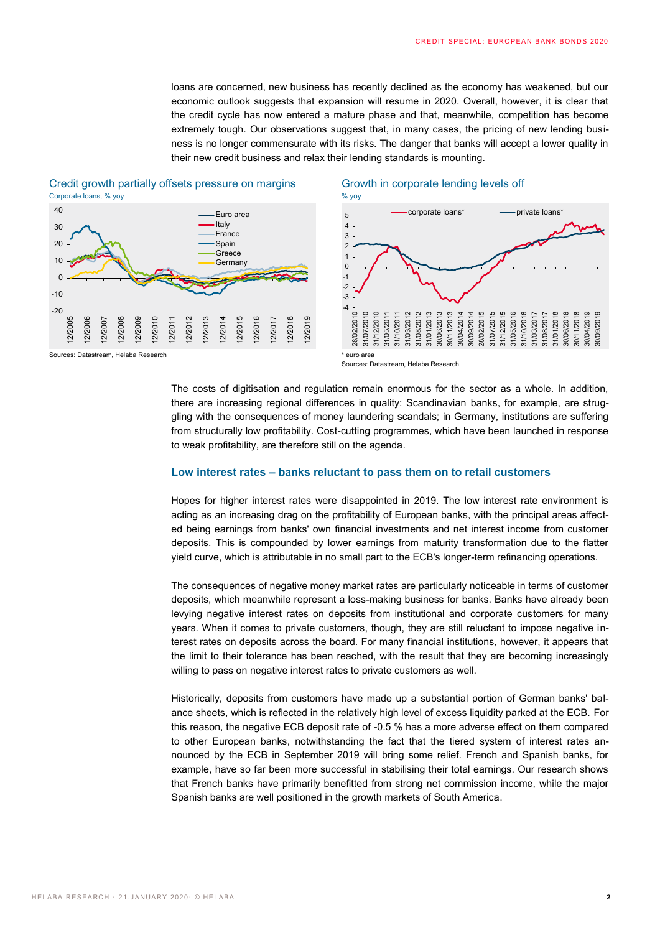loans are concerned, new business has recently declined as the economy has weakened, but our economic outlook suggests that expansion will resume in 2020. Overall, however, it is clear that the credit cycle has now entered a mature phase and that, meanwhile, competition has become extremely tough. Our observations suggest that, in many cases, the pricing of new lending business is no longer commensurate with its risks. The danger that banks will accept a lower quality in their new credit business and relax their lending standards is mounting.



#### Credit growth partially offsets pressure on margins Growth in corporate lending levels off Corporate loans, % yoy % yoy % you



The costs of digitisation and regulation remain enormous for the sector as a whole. In addition, there are increasing regional differences in quality: Scandinavian banks, for example, are struggling with the consequences of money laundering scandals; in Germany, institutions are suffering from structurally low profitability. Cost-cutting programmes, which have been launched in response to weak profitability, are therefore still on the agenda.

#### **Low interest rates – banks reluctant to pass them on to retail customers**

Hopes for higher interest rates were disappointed in 2019. The low interest rate environment is acting as an increasing drag on the profitability of European banks, with the principal areas affected being earnings from banks' own financial investments and net interest income from customer deposits. This is compounded by lower earnings from maturity transformation due to the flatter yield curve, which is attributable in no small part to the ECB's longer-term refinancing operations.

The consequences of negative money market rates are particularly noticeable in terms of customer deposits, which meanwhile represent a loss-making business for banks. Banks have already been levying negative interest rates on deposits from institutional and corporate customers for many years. When it comes to private customers, though, they are still reluctant to impose negative interest rates on deposits across the board. For many financial institutions, however, it appears that the limit to their tolerance has been reached, with the result that they are becoming increasingly willing to pass on negative interest rates to private customers as well.

Historically, deposits from customers have made up a substantial portion of German banks' balance sheets, which is reflected in the relatively high level of excess liquidity parked at the ECB. For this reason, the negative ECB deposit rate of -0.5 % has a more adverse effect on them compared to other European banks, notwithstanding the fact that the tiered system of interest rates announced by the ECB in September 2019 will bring some relief. French and Spanish banks, for example, have so far been more successful in stabilising their total earnings. Our research shows that French banks have primarily benefitted from strong net commission income, while the major Spanish banks are well positioned in the growth markets of South America.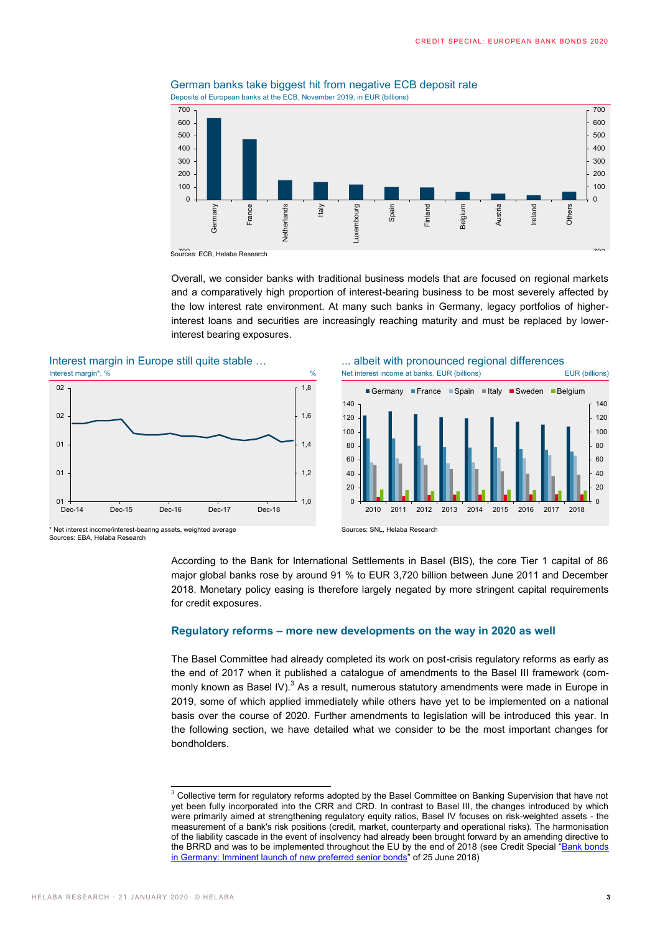

German banks take biggest hit from negative ECB deposit rate Deposits of European banks at the ECB, November 2019, in EUR (billions)

Sources: ECB, Helaba Research

Overall, we consider banks with traditional business models that are focused on regional markets and a comparatively high proportion of interest-bearing business to be most severely affected by the low interest rate environment. At many such banks in Germany, legacy portfolios of higherinterest loans and securities are increasingly reaching maturity and must be replaced by lowerinterest bearing exposures.

Interest margin in Europe still quite stable ...





\* Net interest income/interest-bearing assets, weighted average Sources: EBA, Helaba Research

Sources: SNL, Helaba Research

According to the Bank for International Settlements in Basel (BIS), the core Tier 1 capital of 86 major global banks rose by around 91 % to EUR 3,720 billion between June 2011 and December 2018. Monetary policy easing is therefore largely negated by more stringent capital requirements for credit exposures.

#### **Regulatory reforms – more new developments on the way in 2020 as well**

The Basel Committee had already completed its work on post-crisis regulatory reforms as early as the end of 2017 when it published a catalogue of amendments to the Basel III framework (commonly known as Basel IV). $^3$  As a result, numerous statutory amendments were made in Europe in 2019, some of which applied immediately while others have yet to be implemented on a national basis over the course of 2020. Further amendments to legislation will be introduced this year. In the following section, we have detailed what we consider to be the most important changes for bondholders.

 $3$  Collective term for regulatory reforms adopted by the Basel Committee on Banking Supervision that have not yet been fully incorporated into the CRR and CRD. In contrast to Basel III, the changes introduced by which were primarily aimed at strengthening regulatory equity ratios, Basel IV focuses on risk-weighted assets - the measurement of a bank's risk positions (credit, market, counterparty and operational risks). The harmonisation of the liability cascade in the event of insolvency had already been brought forward by an amending directive to the BRRD and was to be implemented throughout the EU by the end of 2018 (see Credit Special "Bank bonds [in Germany: Imminent launch of new preferred senior bonds](https://www.helaba.de/blueprint/servlet/resource/blob/docs/474606/e31855d90d4e10aa0031e238969828f9/cs-20180907-data.pdf)" of 25 June 2018)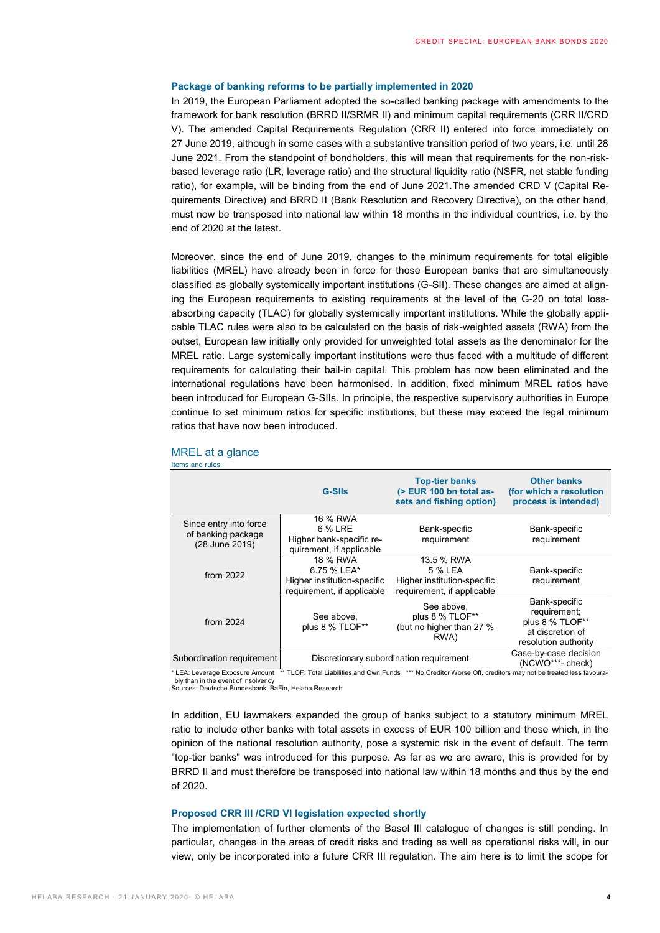#### **Package of banking reforms to be partially implemented in 2020**

In 2019, the European Parliament adopted the so-called banking package with amendments to the framework for bank resolution (BRRD II/SRMR II) and minimum capital requirements (CRR II/CRD V). The amended Capital Requirements Regulation (CRR II) entered into force immediately on 27 June 2019, although in some cases with a substantive transition period of two years, i.e. until 28 June 2021. From the standpoint of bondholders, this will mean that requirements for the non-riskbased leverage ratio (LR, leverage ratio) and the structural liquidity ratio (NSFR, net stable funding ratio), for example, will be binding from the end of June 2021.The amended CRD V (Capital Requirements Directive) and BRRD II (Bank Resolution and Recovery Directive), on the other hand, must now be transposed into national law within 18 months in the individual countries, i.e. by the end of 2020 at the latest.

Moreover, since the end of June 2019, changes to the minimum requirements for total eligible liabilities (MREL) have already been in force for those European banks that are simultaneously classified as globally systemically important institutions (G-SII). These changes are aimed at aligning the European requirements to existing requirements at the level of the G-20 on total lossabsorbing capacity (TLAC) for globally systemically important institutions. While the globally applicable TLAC rules were also to be calculated on the basis of risk-weighted assets (RWA) from the outset, European law initially only provided for unweighted total assets as the denominator for the MREL ratio. Large systemically important institutions were thus faced with a multitude of different requirements for calculating their bail-in capital. This problem has now been eliminated and the international regulations have been harmonised. In addition, fixed minimum MREL ratios have been introduced for European G-SIIs. In principle, the respective supervisory authorities in Europe continue to set minimum ratios for specific institutions, but these may exceed the legal minimum ratios that have now been introduced.

|                                                                                                                                                                             | <b>G-Slls</b>                                                                        | <b>Top-tier banks</b><br>(> EUR 100 bn total as-<br>sets and fishing option)       | <b>Other banks</b><br>(for which a resolution<br>process is intended)                        |  |
|-----------------------------------------------------------------------------------------------------------------------------------------------------------------------------|--------------------------------------------------------------------------------------|------------------------------------------------------------------------------------|----------------------------------------------------------------------------------------------|--|
| Since entry into force<br>of banking package<br>(28 June 2019)                                                                                                              | 16 % RWA<br>6 % LRE<br>Higher bank-specific re-<br>quirement, if applicable          | Bank-specific<br>requirement                                                       | Bank-specific<br>requirement                                                                 |  |
| from $2022$                                                                                                                                                                 | 18 % RWA<br>6.75 % LEA*<br>Higher institution-specific<br>requirement, if applicable | 13.5 % RWA<br>5 % LEA<br>Higher institution-specific<br>requirement, if applicable | Bank-specific<br>requirement                                                                 |  |
| from 2024                                                                                                                                                                   | See above,<br>plus 8 % TLOF**                                                        | See above,<br>plus 8 % TLOF**<br>(but no higher than 27 %<br>RWA)                  | Bank-specific<br>requirement;<br>plus 8 % TLOF**<br>at discretion of<br>resolution authority |  |
| Subordination requirement<br>* I EA: Leverage Exposure Amount ** TLOE: Total Liabilities and Own Funds *** No Creditor Worse Off creditors may not be treated less favoura- | Discretionary subordination requirement                                              | Case-by-case decision<br>(NCWO***- check)                                          |                                                                                              |  |

#### MREL at a glance

Items and rules

\* LEA: Leverage Exposure Amount \*\* TLOF: Total Liabilities and Own Funds \*\*\* No Creditor Worse Off, creditors may not be treated less favourably than in the event of insolvend

Sources: Deutsche Bundesbank, BaFin, Helaba Research

In addition, EU lawmakers expanded the group of banks subject to a statutory minimum MREL ratio to include other banks with total assets in excess of EUR 100 billion and those which, in the opinion of the national resolution authority, pose a systemic risk in the event of default. The term "top-tier banks" was introduced for this purpose. As far as we are aware, this is provided for by BRRD II and must therefore be transposed into national law within 18 months and thus by the end of 2020.

#### **Proposed CRR III /CRD VI legislation expected shortly**

The implementation of further elements of the Basel III catalogue of changes is still pending. In particular, changes in the areas of credit risks and trading as well as operational risks will, in our view, only be incorporated into a future CRR III regulation. The aim here is to limit the scope for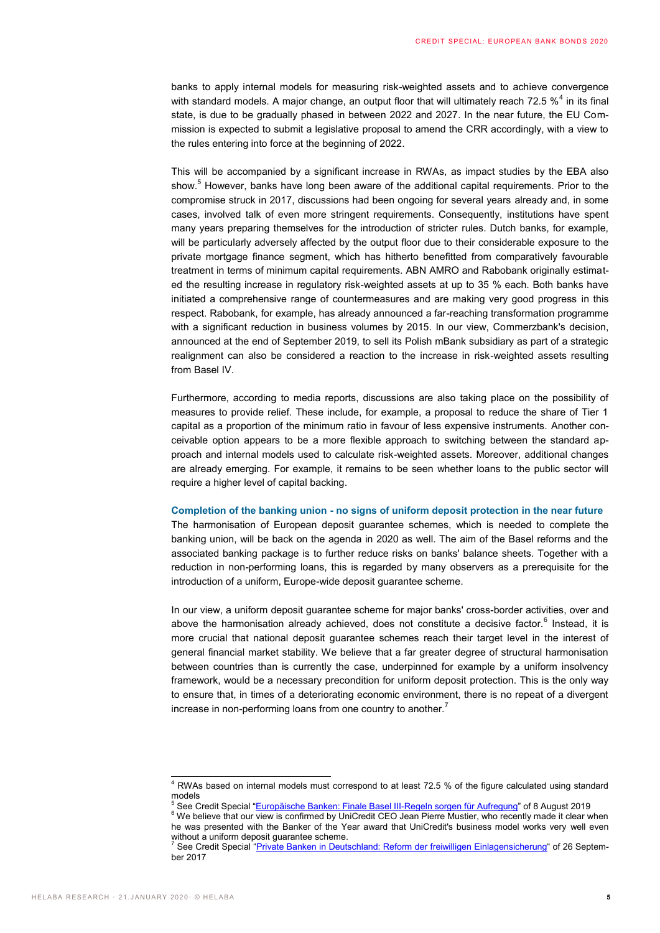banks to apply internal models for measuring risk-weighted assets and to achieve convergence with standard models. A major change, an output floor that will ultimately reach 72.5  $\%^4$  in its final state, is due to be gradually phased in between 2022 and 2027. In the near future, the EU Commission is expected to submit a legislative proposal to amend the CRR accordingly, with a view to the rules entering into force at the beginning of 2022.

This will be accompanied by a significant increase in RWAs, as impact studies by the EBA also show.<sup>5</sup> However, banks have long been aware of the additional capital requirements. Prior to the compromise struck in 2017, discussions had been ongoing for several years already and, in some cases, involved talk of even more stringent requirements. Consequently, institutions have spent many years preparing themselves for the introduction of stricter rules. Dutch banks, for example, will be particularly adversely affected by the output floor due to their considerable exposure to the private mortgage finance segment, which has hitherto benefitted from comparatively favourable treatment in terms of minimum capital requirements. ABN AMRO and Rabobank originally estimated the resulting increase in regulatory risk-weighted assets at up to 35 % each. Both banks have initiated a comprehensive range of countermeasures and are making very good progress in this respect. Rabobank, for example, has already announced a far-reaching transformation programme with a significant reduction in business volumes by 2015. In our view, Commerzbank's decision, announced at the end of September 2019, to sell its Polish mBank subsidiary as part of a strategic realignment can also be considered a reaction to the increase in risk-weighted assets resulting from Basel IV.

Furthermore, according to media reports, discussions are also taking place on the possibility of measures to provide relief. These include, for example, a proposal to reduce the share of Tier 1 capital as a proportion of the minimum ratio in favour of less expensive instruments. Another conceivable option appears to be a more flexible approach to switching between the standard approach and internal models used to calculate risk-weighted assets. Moreover, additional changes are already emerging. For example, it remains to be seen whether loans to the public sector will require a higher level of capital backing.

#### **Completion of the banking union - no signs of uniform deposit protection in the near future**

The harmonisation of European deposit guarantee schemes, which is needed to complete the banking union, will be back on the agenda in 2020 as well. The aim of the Basel reforms and the associated banking package is to further reduce risks on banks' balance sheets. Together with a reduction in non-performing loans, this is regarded by many observers as a prerequisite for the introduction of a uniform, Europe-wide deposit guarantee scheme.

In our view, a uniform deposit guarantee scheme for major banks' cross-border activities, over and above the harmonisation already achieved, does not constitute a decisive factor.<sup>6</sup> Instead, it is more crucial that national deposit guarantee schemes reach their target level in the interest of general financial market stability. We believe that a far greater degree of structural harmonisation between countries than is currently the case, underpinned for example by a uniform insolvency framework, would be a necessary precondition for uniform deposit protection. This is the only way to ensure that, in times of a deteriorating economic environment, there is no repeat of a divergent increase in non-performing loans from one country to another. $<sup>7</sup>$ </sup>

 $4$  RWAs based on internal models must correspond to at least 72.5 % of the figure calculated using standard models

<sup>&</sup>lt;sup>5</sup> See Credit Special "[Europäische Banken: Finale Basel III-Regeln sorgen für Aufregung](https://www.helaba.de/blueprint/servlet/blob/docs/502192/ae8c2bc7331dbcc787d40c36fb0d12e4/cs-20190808-data.pdf)" of 8 August 2019

<sup>&</sup>lt;sup>6</sup> We believe that our view is confirmed by UniCredit CEO Jean Pierre Mustier, who recently made it clear when he was presented with the Banker of the Year award that UniCredit's business model works very well even without a uniform deposit guarantee scheme.

<sup>7</sup> See Credit Special "[Private Banken in Deutschland: Reform der freiwilligen Einlagensicherung](https://www.helaba.de/blueprint/servlet/resource/blob/docs/438168/fb130ec186ec76fe5909e2ce46945565/cs-20170926-data.pdf)" of 26 September 2017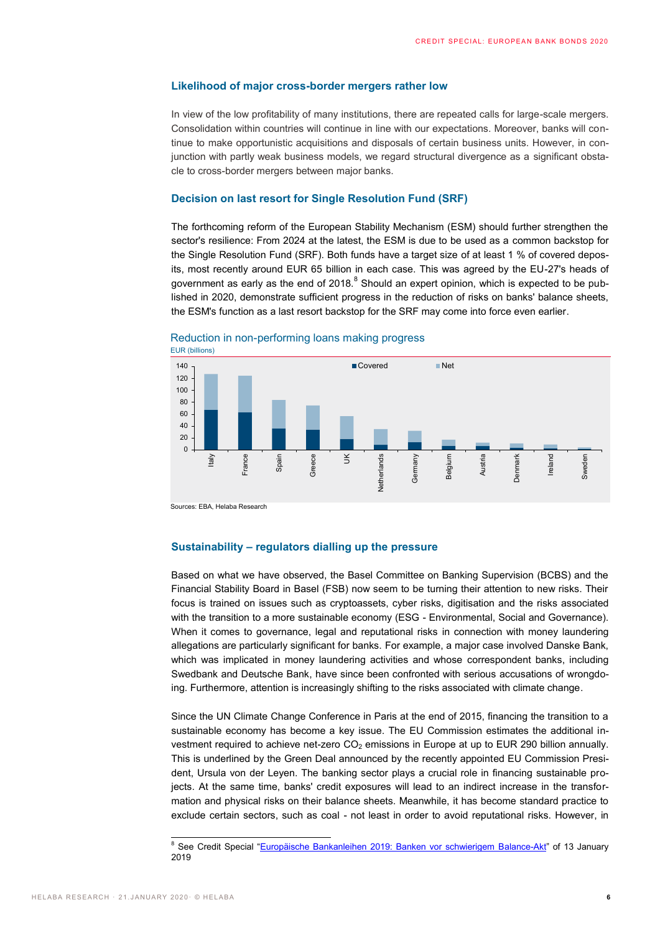#### **Likelihood of major cross-border mergers rather low**

In view of the low profitability of many institutions, there are repeated calls for large-scale mergers. Consolidation within countries will continue in line with our expectations. Moreover, banks will continue to make opportunistic acquisitions and disposals of certain business units. However, in conjunction with partly weak business models, we regard structural divergence as a significant obstacle to cross-border mergers between major banks.

#### **Decision on last resort for Single Resolution Fund (SRF)**

The forthcoming reform of the European Stability Mechanism (ESM) should further strengthen the sector's resilience: From 2024 at the latest, the ESM is due to be used as a common backstop for the Single Resolution Fund (SRF). Both funds have a target size of at least 1 % of covered deposits, most recently around EUR 65 billion in each case. This was agreed by the EU-27's heads of government as early as the end of 2018. $^8$  Should an expert opinion, which is expected to be published in 2020, demonstrate sufficient progress in the reduction of risks on banks' balance sheets, the ESM's function as a last resort backstop for the SRF may come into force even earlier.



Reduction in non-performing loans making progress

Sources: EBA, Helaba Research

#### **Sustainability – regulators dialling up the pressure**

Based on what we have observed, the Basel Committee on Banking Supervision (BCBS) and the Financial Stability Board in Basel (FSB) now seem to be turning their attention to new risks. Their focus is trained on issues such as cryptoassets, cyber risks, digitisation and the risks associated with the transition to a more sustainable economy (ESG - Environmental, Social and Governance). When it comes to governance, legal and reputational risks in connection with money laundering allegations are particularly significant for banks. For example, a major case involved Danske Bank, which was implicated in money laundering activities and whose correspondent banks, including Swedbank and Deutsche Bank, have since been confronted with serious accusations of wrongdoing. Furthermore, attention is increasingly shifting to the risks associated with climate change.

Since the UN Climate Change Conference in Paris at the end of 2015, financing the transition to a sustainable economy has become a key issue. The EU Commission estimates the additional investment required to achieve net-zero  $CO<sub>2</sub>$  emissions in Europe at up to EUR 290 billion annually. This is underlined by the Green Deal announced by the recently appointed EU Commission President, Ursula von der Leyen. The banking sector plays a crucial role in financing sustainable projects. At the same time, banks' credit exposures will lead to an indirect increase in the transformation and physical risks on their balance sheets. Meanwhile, it has become standard practice to exclude certain sectors, such as coal - not least in order to avoid reputational risks. However, in

<sup>&</sup>lt;sup>8</sup> See Credit Special "[Europäische Bankanleihen 2019: Banken vor schwierigem Balance-Akt](https://www.helaba.de/blueprint/servlet/blob/docs/484678/213936e682f44d1a5e025dba6cc5aed2/cs-20190109-data.pdf)" of 13 January 2019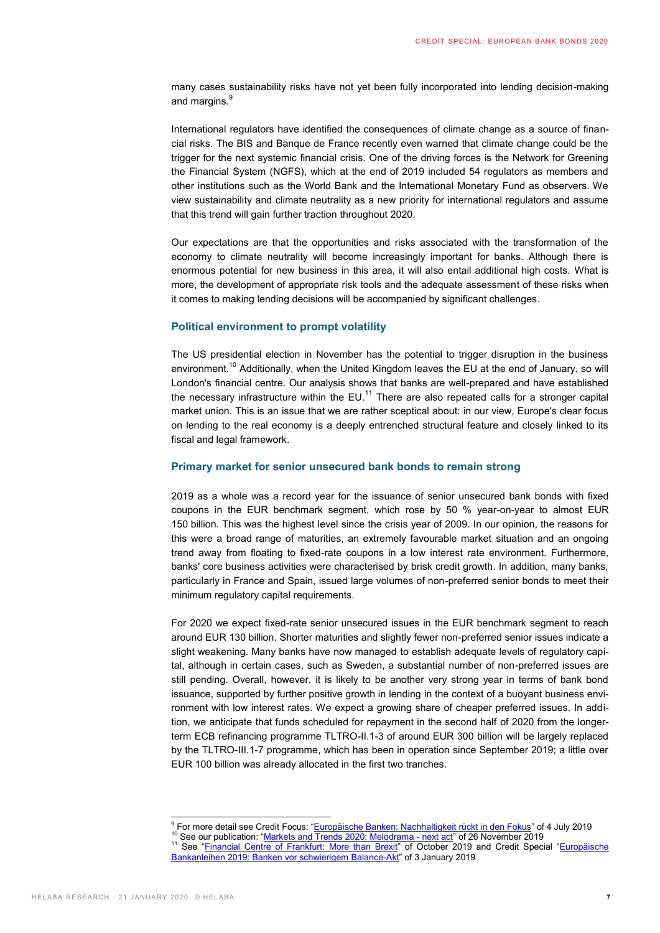many cases sustainability risks have not yet been fully incorporated into lending decision-making and margins.<sup>9</sup>

International regulators have identified the consequences of climate change as a source of financial risks. The BIS and Banque de France recently even warned that climate change could be the trigger for the next systemic financial crisis. One of the driving forces is the Network for Greening the Financial System (NGFS), which at the end of 2019 included 54 regulators as members and other institutions such as the World Bank and the International Monetary Fund as observers. We view sustainability and climate neutrality as a new priority for international regulators and assume that this trend will gain further traction throughout 2020.

Our expectations are that the opportunities and risks associated with the transformation of the economy to climate neutrality will become increasingly important for banks. Although there is enormous potential for new business in this area, it will also entail additional high costs. What is more, the development of appropriate risk tools and the adequate assessment of these risks when it comes to making lending decisions will be accompanied by significant challenges.

#### **Political environment to prompt volatility**

The US presidential election in November has the potential to trigger disruption in the business environment.<sup>10</sup> Additionally, when the United Kingdom leaves the EU at the end of January, so will London's financial centre. Our analysis shows that banks are well-prepared and have established the necessary infrastructure within the  $EU$ .<sup>11</sup> There are also repeated calls for a stronger capital market union. This is an issue that we are rather sceptical about: in our view, Europe's clear focus on lending to the real economy is a deeply entrenched structural feature and closely linked to its fiscal and legal framework.

#### **Primary market for senior unsecured bank bonds to remain strong**

2019 as a whole was a record year for the issuance of senior unsecured bank bonds with fixed coupons in the EUR benchmark segment, which rose by 50 % year-on-year to almost EUR 150 billion. This was the highest level since the crisis year of 2009. In our opinion, the reasons for this were a broad range of maturities, an extremely favourable market situation and an ongoing trend away from floating to fixed-rate coupons in a low interest rate environment. Furthermore, banks' core business activities were characterised by brisk credit growth. In addition, many banks, particularly in France and Spain, issued large volumes of non-preferred senior bonds to meet their minimum regulatory capital requirements.

For 2020 we expect fixed-rate senior unsecured issues in the EUR benchmark segment to reach around EUR 130 billion. Shorter maturities and slightly fewer non-preferred senior issues indicate a slight weakening. Many banks have now managed to establish adequate levels of regulatory capital, although in certain cases, such as Sweden, a substantial number of non-preferred issues are still pending. Overall, however, it is likely to be another very strong year in terms of bank bond issuance, supported by further positive growth in lending in the context of a buoyant business environment with low interest rates. We expect a growing share of cheaper preferred issues. In addition, we anticipate that funds scheduled for repayment in the second half of 2020 from the longerterm ECB refinancing programme TLTRO-II.1-3 of around EUR 300 billion will be largely replaced by the TLTRO-III.1-7 programme, which has been in operation since September 2019; a little over EUR 100 billion was already allocated in the first two tranches.

 9 For more detail see Credit Focus: "[Europäische Banken: Nachhaltigkeit rückt in den Fokus](https://www.helaba.de/blueprint/servlet/blob/docs/499436/c3b1e1d85c871d375fda35a883386b94/cs-20190704-data.pdf)" of 4 July 2019

<sup>&</sup>lt;sup>10</sup> See our publication: "<u>[Markets and Trends 2020: Melodrama -](https://www.helaba.com/media/docs/int/informations-for/research/markets-and-trends/markets-and-trends-20191126.pdf) next act</u>" of 26 November 2019<br><sup>11</sup> See our publication: "<u>Markets and Trends 2020: Melodrama - next act</u>" of 26 November 2019

See "[Financial Centre of Frankfurt: More than Brexit](https://www.helaba.de/blueprint/servlet/resource/blob/docs/506102/9635f3d5cd32e7683a62a4d4e916dbdb/financial-centre-focus--more-than-brexit-20191001-data.pdf)" of October 2019 and Credit Special "Europäische [Bankanleihen 2019: Banken vor schwierigem Balance-Akt](https://www.helaba.de/blueprint/servlet/blob/docs/484678/213936e682f44d1a5e025dba6cc5aed2/cs-20190109-data.pdf)" of 3 January 2019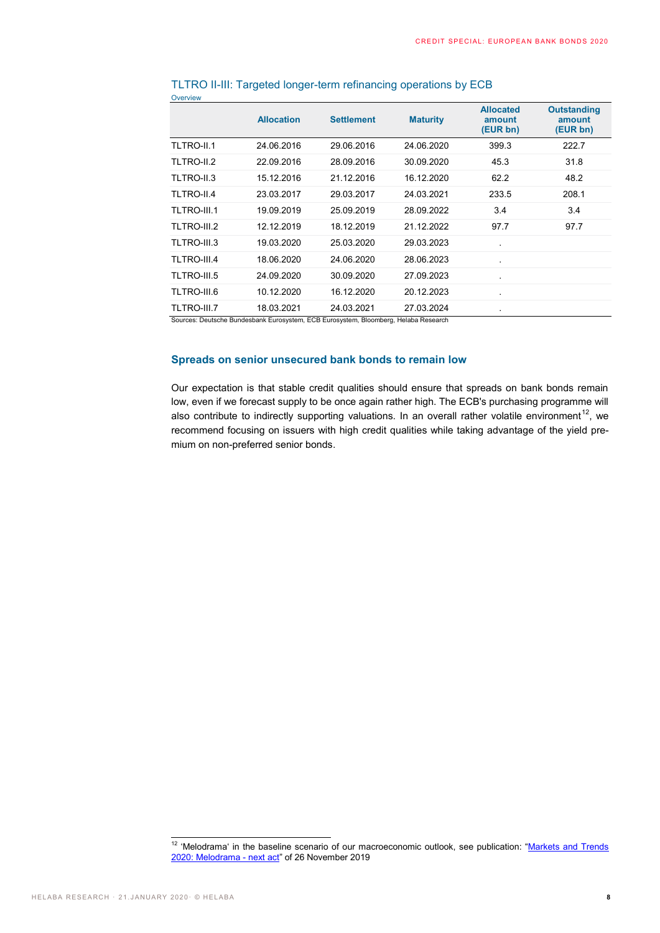|             | <b>Allocation</b> | <b>Settlement</b> | <b>Maturity</b> | <b>Allocated</b><br>amount<br>(EUR bn) | <b>Outstanding</b><br>amount<br>(EUR bn) |
|-------------|-------------------|-------------------|-----------------|----------------------------------------|------------------------------------------|
| TLTRO-II.1  | 24.06.2016        | 29.06.2016        | 24.06.2020      | 399.3                                  | 222.7                                    |
| TLTRO-II.2  | 22.09.2016        | 28.09.2016        | 30.09.2020      | 45.3                                   | 31.8                                     |
| TLTRO-II.3  | 15.12.2016        | 21.12.2016        | 16.12.2020      | 62.2                                   | 48.2                                     |
| TLTRO-II.4  | 23.03.2017        | 29.03.2017        | 24.03.2021      | 233.5                                  | 208.1                                    |
| TLTRO-III.1 | 19.09.2019        | 25.09.2019        | 28.09.2022      | 3.4                                    | 3.4                                      |
| TLTRO-III.2 | 12.12.2019        | 18.12.2019        | 21.12.2022      | 97.7                                   | 97.7                                     |
| TLTRO-III.3 | 19.03.2020        | 25.03.2020        | 29.03.2023      |                                        |                                          |
| TLTRO-III.4 | 18.06.2020        | 24.06.2020        | 28.06.2023      |                                        |                                          |
| TLTRO-III.5 | 24.09.2020        | 30.09.2020        | 27.09.2023      | $\blacksquare$                         |                                          |
| TLTRO-III.6 | 10.12.2020        | 16.12.2020        | 20.12.2023      |                                        |                                          |
| TLTRO-III.7 | 18.03.2021        | 24.03.2021        | 27.03.2024      | $\blacksquare$                         |                                          |

#### TLTRO II-III: Targeted longer-term refinancing operations by ECB

Overview

che Bundesbank Eurosystem, ECB Eurosystem, Bloomberg, Helaba Research

### **Spreads on senior unsecured bank bonds to remain low**

Our expectation is that stable credit qualities should ensure that spreads on bank bonds remain low, even if we forecast supply to be once again rather high. The ECB's purchasing programme will also contribute to indirectly supporting valuations. In an overall rather volatile environment<sup>12</sup>, we recommend focusing on issuers with high credit qualities while taking advantage of the yield premium on non-preferred senior bonds.

 $12$  'Melodrama' in the baseline scenario of our macroeconomic outlook, see publication: "Markets and Trends [2020: Melodrama -](https://www.helaba.com/media/docs/int/informations-for/research/markets-and-trends/markets-and-trends-20191126.pdf) next act" of 26 November 2019